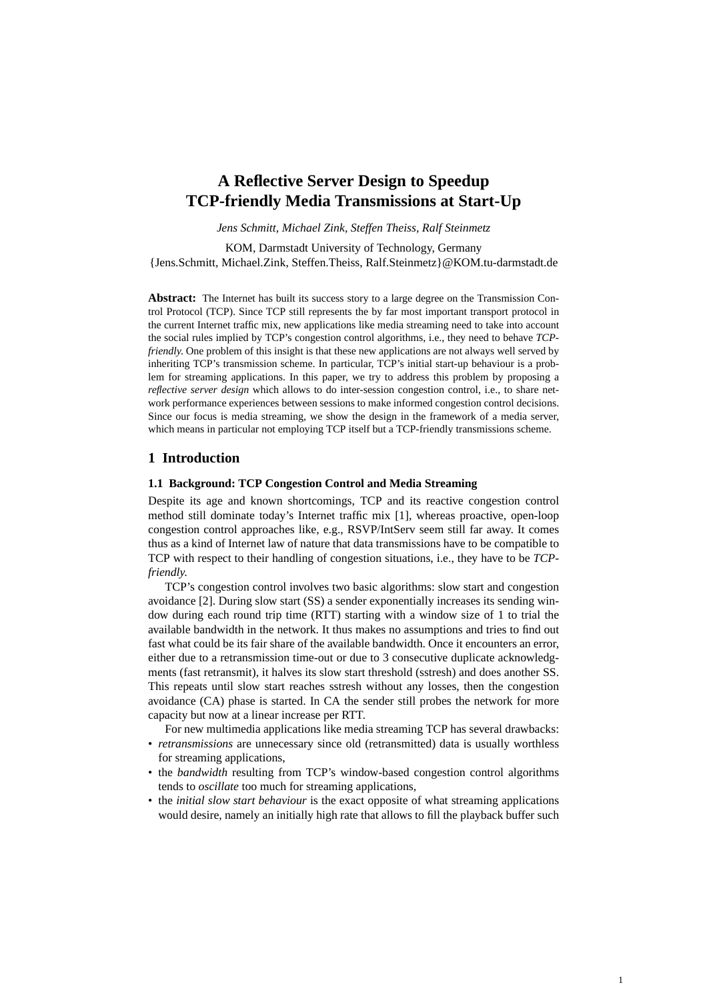# **A Reflective Server Design to Speedup TCP-friendly Media Transmissions at Start-Up**

*Jens Schmitt, Michael Zink, Steffen Theiss, Ralf Steinmetz*

KOM, Darmstadt University of Technology, Germany {Jens.Schmitt, Michael.Zink, Steffen.Theiss, Ralf.Steinmetz}@KOM.tu-darmstadt.de

**Abstract:** The Internet has built its success story to a large degree on the Transmission Control Protocol (TCP). Since TCP still represents the by far most important transport protocol in the current Internet traffic mix, new applications like media streaming need to take into account the social rules implied by TCP's congestion control algorithms, i.e., they need to behave *TCPfriendly*. One problem of this insight is that these new applications are not always well served by inheriting TCP's transmission scheme. In particular, TCP's initial start-up behaviour is a problem for streaming applications. In this paper, we try to address this problem by proposing a *reflective server design* which allows to do inter-session congestion control, i.e., to share network performance experiences between sessions to make informed congestion control decisions. Since our focus is media streaming, we show the design in the framework of a media server, which means in particular not employing TCP itself but a TCP-friendly transmissions scheme.

### **1 Introduction**

### **1.1 Background: TCP Congestion Control and Media Streaming**

Despite its age and known shortcomings, TCP and its reactive congestion control method still dominate today's Internet traffic mix [1], whereas proactive, open-loop congestion control approaches like, e.g., RSVP/IntServ seem still far away. It comes thus as a kind of Internet law of nature that data transmissions have to be compatible to TCP with respect to their handling of congestion situations, i.e., they have to be *TCPfriendly*.

TCP's congestion control involves two basic algorithms: slow start and congestion avoidance [2]. During slow start (SS) a sender exponentially increases its sending window during each round trip time (RTT) starting with a window size of 1 to trial the available bandwidth in the network. It thus makes no assumptions and tries to find out fast what could be its fair share of the available bandwidth. Once it encounters an error, either due to a retransmission time-out or due to 3 consecutive duplicate acknowledgments (fast retransmit), it halves its slow start threshold (sstresh) and does another SS. This repeats until slow start reaches sstresh without any losses, then the congestion avoidance (CA) phase is started. In CA the sender still probes the network for more capacity but now at a linear increase per RTT.

For new multimedia applications like media streaming TCP has several drawbacks:

- *retransmissions* are unnecessary since old (retransmitted) data is usually worthless for streaming applications,
- the *bandwidth* resulting from TCP's window-based congestion control algorithms tends to *oscillate* too much for streaming applications,
- the *initial slow start behaviour* is the exact opposite of what streaming applications would desire, namely an initially high rate that allows to fill the playback buffer such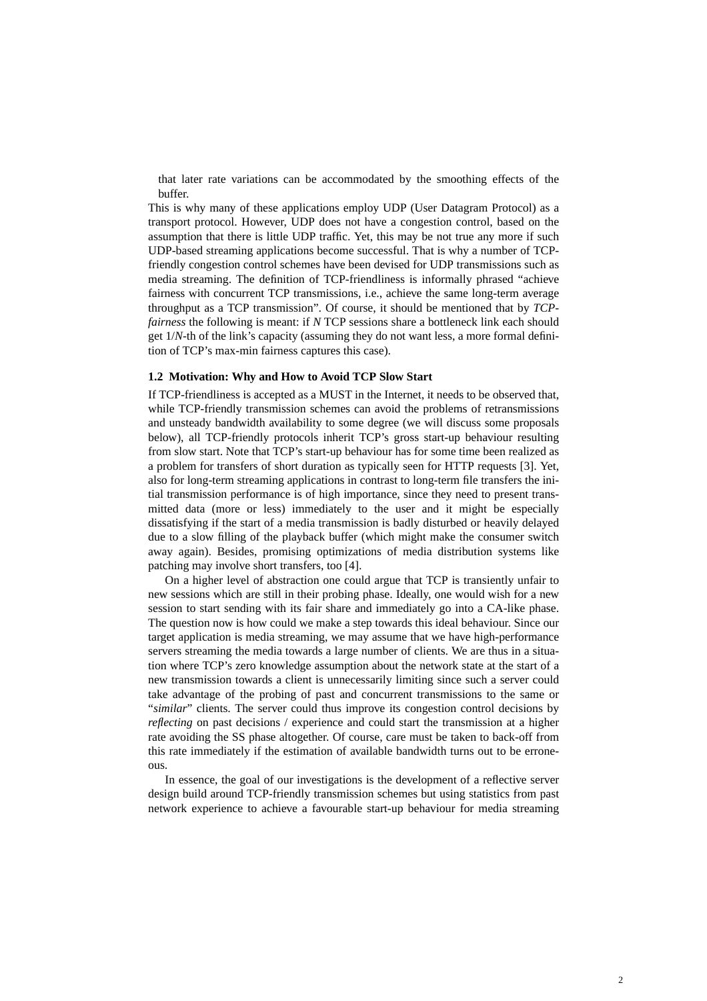that later rate variations can be accommodated by the smoothing effects of the buffer.

This is why many of these applications employ UDP (User Datagram Protocol) as a transport protocol. However, UDP does not have a congestion control, based on the assumption that there is little UDP traffic. Yet, this may be not true any more if such UDP-based streaming applications become successful. That is why a number of TCPfriendly congestion control schemes have been devised for UDP transmissions such as media streaming. The definition of TCP-friendliness is informally phrased "achieve fairness with concurrent TCP transmissions, i.e., achieve the same long-term average throughput as a TCP transmission". Of course, it should be mentioned that by *TCPfairness* the following is meant: if *N* TCP sessions share a bottleneck link each should get 1/*N*-th of the link's capacity (assuming they do not want less, a more formal definition of TCP's max-min fairness captures this case).

### **1.2 Motivation: Why and How to Avoid TCP Slow Start**

If TCP-friendliness is accepted as a MUST in the Internet, it needs to be observed that, while TCP-friendly transmission schemes can avoid the problems of retransmissions and unsteady bandwidth availability to some degree (we will discuss some proposals below), all TCP-friendly protocols inherit TCP's gross start-up behaviour resulting from slow start. Note that TCP's start-up behaviour has for some time been realized as a problem for transfers of short duration as typically seen for HTTP requests [3]. Yet, also for long-term streaming applications in contrast to long-term file transfers the initial transmission performance is of high importance, since they need to present transmitted data (more or less) immediately to the user and it might be especially dissatisfying if the start of a media transmission is badly disturbed or heavily delayed due to a slow filling of the playback buffer (which might make the consumer switch away again). Besides, promising optimizations of media distribution systems like patching may involve short transfers, too [4].

On a higher level of abstraction one could argue that TCP is transiently unfair to new sessions which are still in their probing phase. Ideally, one would wish for a new session to start sending with its fair share and immediately go into a CA-like phase. The question now is how could we make a step towards this ideal behaviour. Since our target application is media streaming, we may assume that we have high-performance servers streaming the media towards a large number of clients. We are thus in a situation where TCP's zero knowledge assumption about the network state at the start of a new transmission towards a client is unnecessarily limiting since such a server could take advantage of the probing of past and concurrent transmissions to the same or "similar" clients. The server could thus improve its congestion control decisions by *reflecting* on past decisions / experience and could start the transmission at a higher rate avoiding the SS phase altogether. Of course, care must be taken to back-off from this rate immediately if the estimation of available bandwidth turns out to be erroneous.

In essence, the goal of our investigations is the development of a reflective server design build around TCP-friendly transmission schemes but using statistics from past network experience to achieve a favourable start-up behaviour for media streaming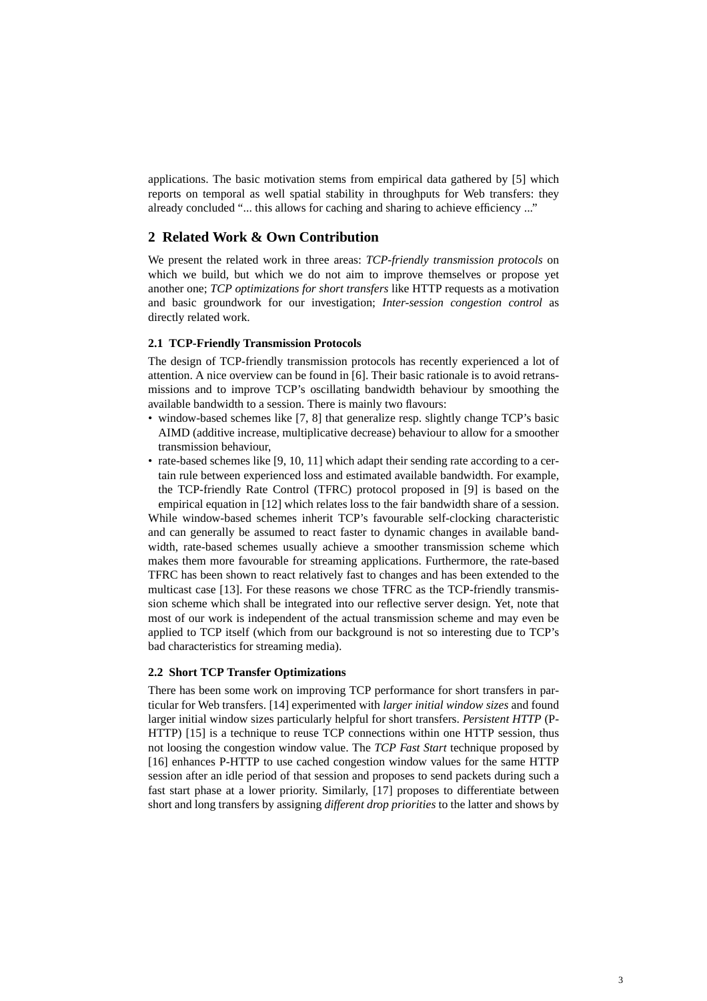<span id="page-2-0"></span>applications. The basic motivation stems from empirical data gathered by [5] which reports on temporal as well spatial stability in throughputs for Web transfers: they already concluded "... this allows for caching and sharing to achieve efficiency ..."

### **2 Related Work & Own Contribution**

We present the related work in three areas: *TCP-friendly transmission protocols* on which we build, but which we do not aim to improve themselves or propose yet another one; *TCP optimizations for short transfers* like HTTP requests as a motivation and basic groundwork for our investigation; *Inter-session congestion control* as directly related work.

### **2.1 TCP-Friendly Transmission Protocols**

The design of TCP-friendly transmission protocols has recently experienced a lot of attention. A nice overview can be found in [6]. Their basic rationale is to avoid retransmissions and to improve TCP's oscillating bandwidth behaviour by smoothing the available bandwidth to a session. There is mainly two flavours:

- window-based schemes like [7, 8] that generalize resp. slightly change TCP's basic AIMD (additive increase, multiplicative decrease) behaviour to allow for a smoother transmission behaviour,
- rate-based schemes like [9, 10, 11] which adapt their sending rate according to a certain rule between experienced loss and estimated available bandwidth. For example, the TCP-friendly Rate Control (TFRC) protocol proposed in [9] is based on the

empirical equation in [12] which relates loss to the fair bandwidth share of a session. While window-based schemes inherit TCP's favourable self-clocking characteristic and can generally be assumed to react faster to dynamic changes in available bandwidth, rate-based schemes usually achieve a smoother transmission scheme which makes them more favourable for streaming applications. Furthermore, the rate-based TFRC has been shown to react relatively fast to changes and has been extended to the multicast case [13]. For these reasons we chose TFRC as the TCP-friendly transmission scheme which shall be integrated into our reflective server design. Yet, note that most of our work is independent of the actual transmission scheme and may even be applied to TCP itself (which from our background is not so interesting due to TCP's bad characteristics for streaming media).

#### **2.2 Short TCP Transfer Optimizations**

There has been some work on improving TCP performance for short transfers in particular for Web transfers. [14] experimented with *larger initial window sizes* and found larger initial window sizes particularly helpful for short transfers. *Persistent HTTP* (P-HTTP) [15] is a technique to reuse TCP connections within one HTTP session, thus not loosing the congestion window value. The *TCP Fast Start* technique proposed by [16] enhances P-HTTP to use cached congestion window values for the same HTTP session after an idle period of that session and proposes to send packets during such a fast start phase at a lower priority. Similarly, [17] proposes to differentiate between short and long transfers by assigning *different drop priorities* to the latter and shows by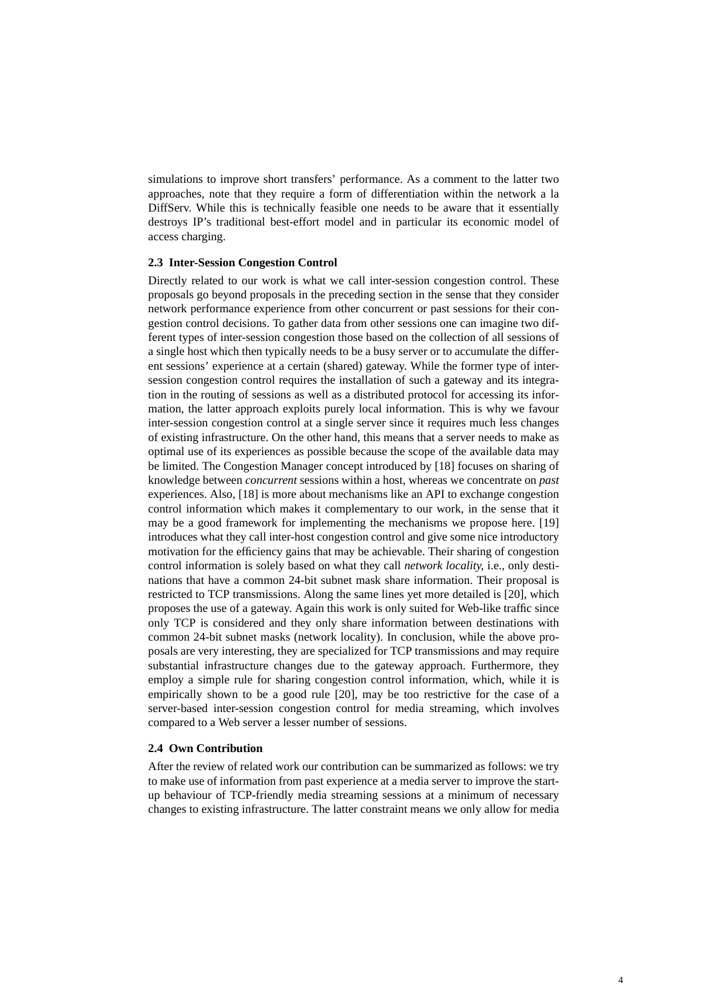simulations to improve short transfers' performance. As a comment to the latter two approaches, note that they require a form of differentiation within the network a la DiffServ. While this is technically feasible one needs to be aware that it essentially destroys IP's traditional best-effort model and in particular its economic model of access charging.

### **2.3 Inter-Session Congestion Control**

Directly related to our work is what we call inter-session congestion control. These proposals go beyond proposals in the preceding section in the sense that they consider network performance experience from other concurrent or past sessions for their congestion control decisions. To gather data from other sessions one can imagine two different types of inter-session congestion those based on the collection of all sessions of a single host which then typically needs to be a busy server or to accumulate the different sessions' experience at a certain (shared) gateway. While the former type of intersession congestion control requires the installation of such a gateway and its integration in the routing of sessions as well as a distributed protocol for accessing its information, the latter approach exploits purely local information. This is why we favour inter-session congestion control at a single server since it requires much less changes of existing infrastructure. On the other hand, this means that a server needs to make as optimal use of its experiences as possible because the scope of the available data may be limited. The Congestion Manager concept introduced by [18] focuses on sharing of knowledge between *concurrent* sessions within a host, whereas we concentrate on *past* experiences. Also, [18] is more about mechanisms like an API to exchange congestion control information which makes it complementary to our work, in the sense that it may be a good framework for implementing the mechanisms we propose here. [19] introduces what they call inter-host congestion control and give some nice introductory motivation for the efficiency gains that may be achievable. Their sharing of congestion control information is solely based on what they call *network locality*, i.e., only destinations that have a common 24-bit subnet mask share information. Their proposal is restricted to TCP transmissions. Along the same lines yet more detailed is [20], which proposes the use of a gateway. Again this work is only suited for Web-like traffic since only TCP is considered and they only share information between destinations with common 24-bit subnet masks (network locality). In conclusion, while the above proposals are very interesting, they are specialized for TCP transmissions and may require substantial infrastructure changes due to the gateway approach. Furthermore, they employ a simple rule for sharing congestion control information, which, while it is empirically shown to be a good rule [20], may be too restrictive for the case of a server-based inter-session congestion control for media streaming, which involves compared to a Web server a lesser number of sessions.

#### **2.4 Own Contribution**

After the review of related work our contribution can be summarized as follows: we try to make use of information from past experience at a media server to improve the startup behaviour of TCP-friendly media streaming sessions at a minimum of necessary changes to existing infrastructure. The latter constraint means we only allow for media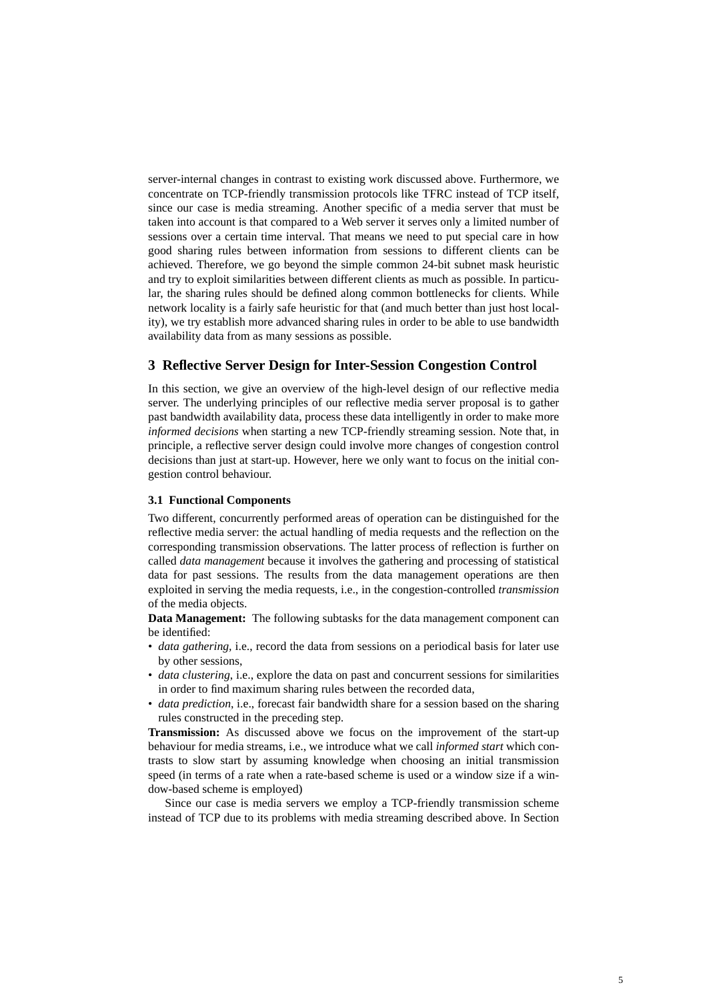[se](#page-2-0)rver-internal changes in contrast to existing work discussed above. Furthermore, we concentrate on TCP-friendly transmission protocols like TFRC instead of TCP itself, since our case is media streaming. Another specific of a media server that must be taken into account is that compared to a Web server it serves only a limited number of sessions over a certain time interval. That means we need to put special care in how good sharing rules between information from sessions to different clients can be achieved. Therefore, we go beyond the simple common 24-bit subnet mask heuristic and try to exploit similarities between different clients as much as possible. In particular, the sharing rules should be defined along common bottlenecks for clients. While network locality is a fairly safe heuristic for that (and much better than just host locality), we try establish more advanced sharing rules in order to be able to use bandwidth availability data from as many sessions as possible.

# **3 Reflective Server Design for Inter-Session Congestion Control**

In this section, we give an overview of the high-level design of our reflective media server. The underlying principles of our reflective media server proposal is to gather past bandwidth availability data, process these data intelligently in order to make more *informed decisions* when starting a new TCP-friendly streaming session. Note that, in principle, a reflective server design could involve more changes of congestion control decisions than just at start-up. However, here we only want to focus on the initial congestion control behaviour.

### **3.1 Functional Components**

Two different, concurrently performed areas of operation can be distinguished for the reflective media server: the actual handling of media requests and the reflection on the corresponding transmission observations. The latter process of reflection is further on called *data management* because it involves the gathering and processing of statistical data for past sessions. The results from the data management operations are then exploited in serving the media requests, i.e., in the congestion-controlled *transmission* of the media objects.

**Data Management:** The following subtasks for the data management component can be identified:

- *data gathering,* i.e., record the data from sessions on a periodical basis for later use by other sessions,
- *data clustering*, i.e., explore the data on past and concurrent sessions for similarities in order to find maximum sharing rules between the recorded data,
- *data prediction*, i.e., forecast fair bandwidth share for a session based on the sharing rules constructed in the preceding step.

**Transmission:** As discussed above we focus on the improvement of the start-up behaviour for media streams, i.e., we introduce what we call *informed start* which contrasts to slow start by assuming knowledge when choosing an initial transmission speed (in terms of a rate when a rate-based scheme is used or a window size if a window-based scheme is employed)

Since our case is media servers we employ a TCP-friendly transmission scheme instead of TCP due to its problems with media streaming described above. In [Section](#page-2-0)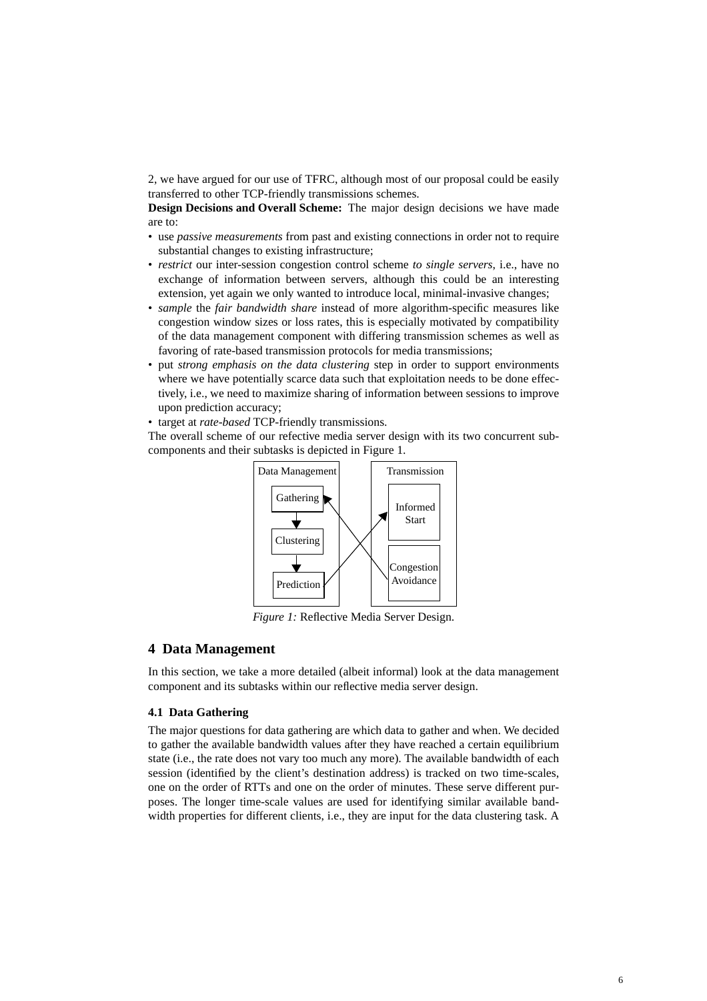[2,](#page-2-0) we have argued for our use of TFRC, although most of our proposal could be easily transferred to other TCP-friendly transmissions schemes.

**Design Decisions and Overall Scheme:** The major design decisions we have made are to:

- use *passive measurements* from past and existing connections in order not to require substantial changes to existing infrastructure;
- *restrict* our inter-session congestion control scheme *to single servers*, i.e., have no exchange of information between servers, although this could be an interesting extension, yet again we only wanted to introduce local, minimal-invasive changes;
- *sample* the *fair bandwidth share* instead of more algorithm-specific measures like congestion window sizes or loss rates, this is especially motivated by compatibility of the data management component with differing transmission schemes as well as favoring of rate-based transmission protocols for media transmissions;
- put *strong emphasis on the data clustering* step in order to support environments where we have potentially scarce data such that exploitation needs to be done effectively, i.e., we need to maximize sharing of information between sessions to improve upon prediction accuracy;
- target at *rate-based* TCP-friendly transmissions.

The overall scheme of our refective media server design with its two concurrent subcomponents and their subtasks is depicted in Figure 1.



*Figure 1:* Reflective Media Server Design.

### **4 Data Management**

In this section, we take a more detailed (albeit informal) look at the data management component and its subtasks within our reflective media server design.

#### **4.1 Data Gathering**

The major questions for data gathering are which data to gather and when. We decided to gather the available bandwidth values after they have reached a certain equilibrium state (i.e., the rate does not vary too much any more). The available bandwidth of each session (identified by the client's destination address) is tracked on two time-scales, one on the order of RTTs and one on the order of minutes. These serve differ[ent pur](#page-2-0)poses. The longer time-scale values are used for identifying similar available bandwidth properties for different clients, i.e., they are input for the data clustering task. A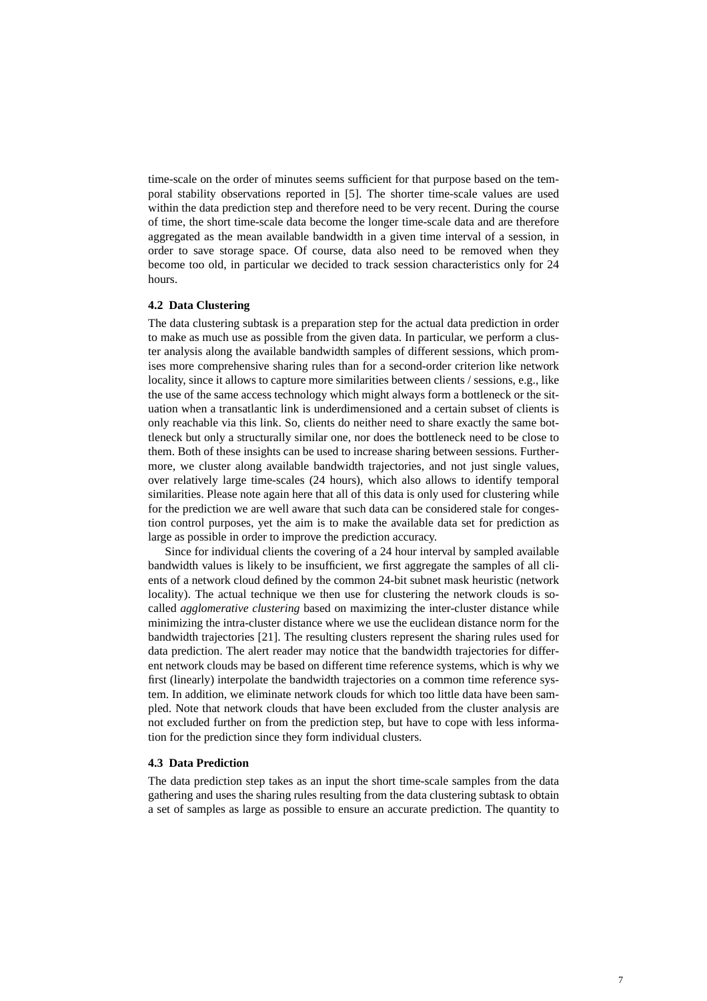time-scale on the order of minutes seems sufficient for that purpose based on the temporal stability observations reported in [5]. The shorter time-scale values are used within the data prediction step and therefore need to be very recent. During the course of time, the short time-scale data become the longer time-scale data and are therefore aggregated as the mean available bandwidth in a given time interval of a session, in order to save storage space. Of course, data also need to be removed when they become too old, in particular we decided to track session characteristics only for 24 hours.

### **4.2 Data Clustering**

The data clustering subtask is a preparation step for the actual data prediction in order to make as much use as possible from the given data. In particular, we perform a cluster analysis along the available bandwidth samples of different sessions, which promises more comprehensive sharing rules than for a second-order criterion like network locality, since it allows to capture more similarities between clients / sessions, e.g., like the use of the same access technology which might always form a bottleneck or the situation when a transatlantic link is underdimensioned and a certain subset of clients is only reachable via this link. So, clients do neither need to share exactly the same bottleneck but only a structurally similar one, nor does the bottleneck need to be close to them. Both of these insights can be used to increase sharing between sessions. Furthermore, we cluster along available bandwidth trajectories, and not just single values, over relatively large time-scales (24 hours), which also allows to identify temporal similarities. Please note again here that all of this data is only used for clustering while for the prediction we are well aware that such data can be considered stale for congestion control purposes, yet the aim is to make the available data set for prediction as large as possible in order to improve the prediction accuracy.

Since for individual clients the covering of a 24 hour interval by sampled available bandwidth values is likely to be insufficient, we first aggregate the samples of all clients of a network cloud defined by the common 24-bit subnet mask heuristic (network locality). The actual technique we then use for clustering the network clouds is socalled *agglomerative clustering* based on maximizing the inter-cluster distance while minimizing the intra-cluster distance where we use the euclidean distance norm for the bandwidth trajectories [21]. The resulting clusters represent the sharing rules used for data prediction. The alert reader may notice that the bandwidth trajectories for different network clouds may be based on different time reference systems, which is why we first (linearly) interpolate the bandwidth trajectories on a common time reference system. In addition, we eliminate network clouds for which too little data have been sampled. Note that network clouds that have been excluded from the cluster analysis are not excluded further on from the prediction step, but have to cope with less information for the prediction since they form individual clusters.

#### **4.3 Data Prediction**

The data prediction step takes as an input the short time-scale samples from the data gathering and uses the sharing rules resulting from the data clustering subtask to obtain a set of samples as large as possible to ensure an accurate prediction. The quantity to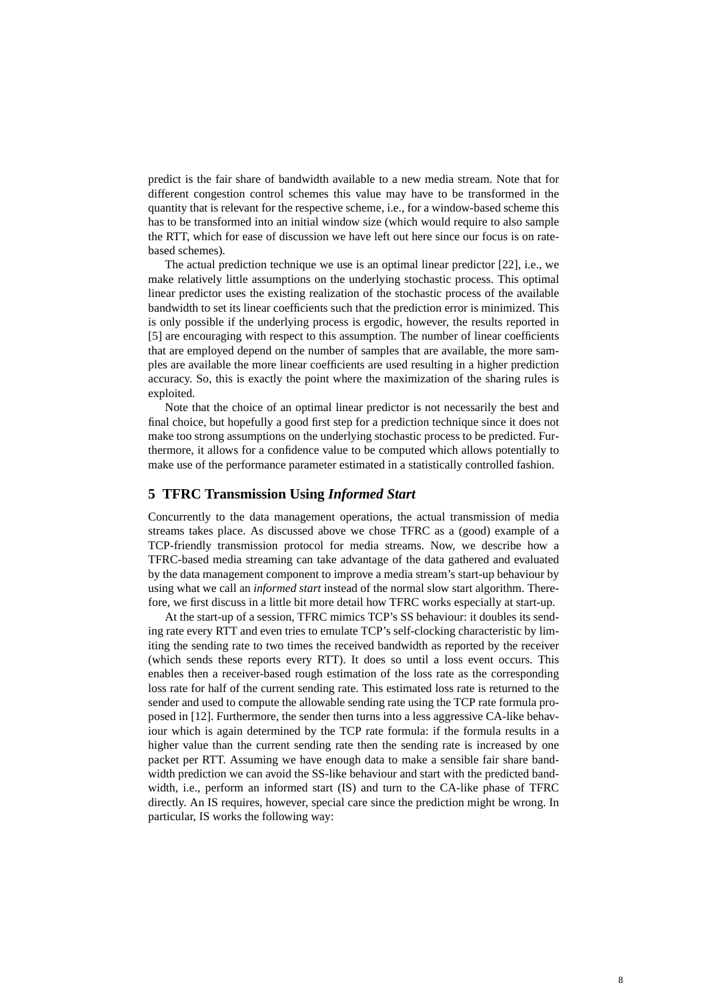predict is the fair share of bandwidth available to a new media stream. Note that for different congestion control schemes this value may have to be transformed in the quantity that is relevant for the respective scheme, i.e., for a window-based scheme this has to be transformed into an initial window size (which would require to also sample the RTT, which for ease of discussion we have left out here since our focus is on ratebased schemes).

The actual prediction technique we use is an optimal linear predictor [22], i.e., we make relatively little assumptions on the underlying stochastic process. This optimal linear predictor uses the existing realization of the stochastic process of the available bandwidth to set its linear coefficients such that the prediction error is minimized. This is only possible if the underlying process is ergodic, however, the results reported in [5] are encouraging with respect to this assumption. The number of linear coefficients that are employed depend on the number of samples that are available, the more samples are available the more linear coefficients are used resulting in a higher prediction accuracy. So, this is exactly the point where the maximization of the sharing rules is exploited.

Note that the choice of an optimal linear predictor is not necessarily the best and final choice, but hopefully a good first step for a prediction technique since it does not make too strong assumptions on the underlying stochastic process to be predicted. Furthermore, it allows for a confidence value to be computed which allows potentially to make use of the performance parameter estimated in a statistically controlled fashion.

### **5 TFRC Transmission Using** *Informed Start*

Concurrently to the data management operations, the actual transmission of media streams takes place. As discussed above we chose TFRC as a (good) example of a TCP-friendly transmission protocol for media streams. Now, we describe how a TFRC-based media streaming can take advantage of the data gathered and evaluated by the data management component to improve a media stream's start-up behaviour by using what we call an *informed start* instead of the normal slow start algorithm. Therefore, we first discuss in a little bit more detail how TFRC works especially at start-up.

At the start-up of a session, TFRC mimics TCP's SS behaviour: it doubles its sending rate every RTT and even tries to emulate TCP's self-clocking characteristic by limiting the sending rate to two times the received bandwidth as reported by the receiver (which sends these reports every RTT). It does so until a loss event occurs. This enables then a receiver-based rough estimation of the loss rate as the corresponding loss rate for half of the current sending rate. This estimated loss rate is returned to the sender and used to compute the allowable sending rate using the TCP rate formula proposed in [12]. Furthermore, the sender then turns into a less aggressive CA-like behaviour which is again determined by the TCP rate formula: if the formula results in a higher value than the current sending rate then the sending rate is increased by one packet per RTT. Assuming we have enough data to make a sensible fair share bandwidth prediction we can avoid the SS-like behaviour and start with the predicted bandwidth, i.e., perform an informed start (IS) and turn to the CA-like phase of TFRC directly. An IS requires, however, special care since the prediction might be wrong. In particular, IS works the following way: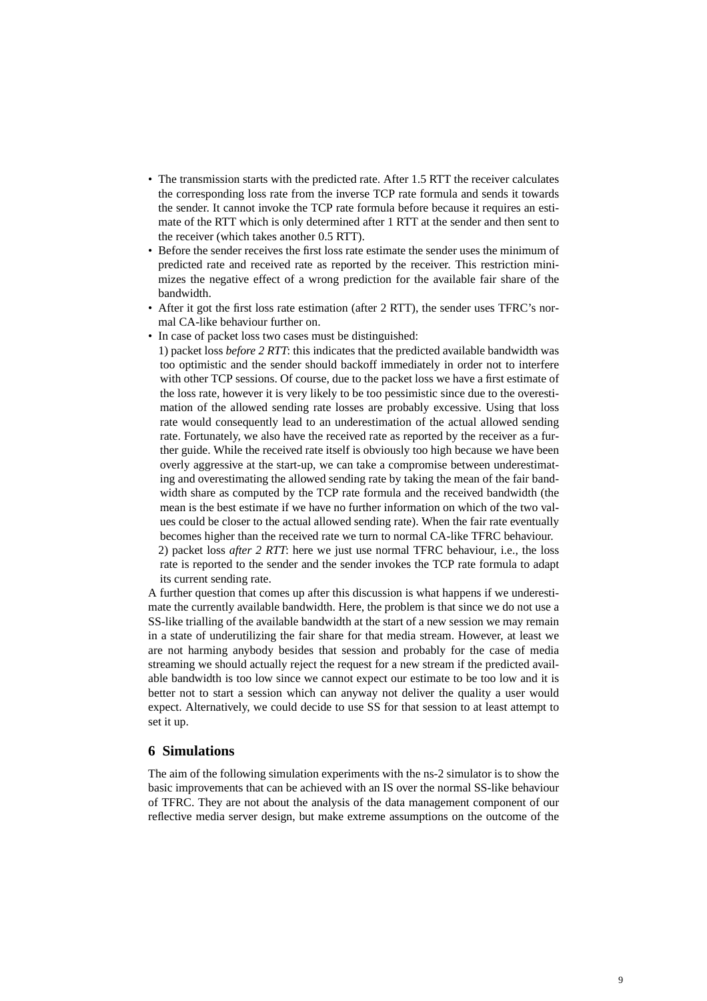- The transmission starts with the predicted rate. After 1.5 RTT the receiver calculates the corresponding loss rate from the inverse TCP rate formula and sends it towards the sender. It cannot invoke the TCP rate formula before because it requires an estimate of the RTT which is only determined after 1 RTT at the sender and then sent to the receiver (which takes another 0.5 RTT).
- Before the sender receives the first loss rate estimate the sender uses the minimum of predicted rate and received rate as reported by the receiver. This restriction minimizes the negative effect of a wrong prediction for the available fair share of the bandwidth.
- After it got the first loss rate estimation (after 2 RTT), the sender uses TFRC's normal CA-like behaviour further on.
- In case of packet loss two cases must be distinguished:

1) packet loss *before 2 RTT*: this indicates that the predicted available bandwidth was too optimistic and the sender should backoff immediately in order not to interfere with other TCP sessions. Of course, due to the packet loss we have a first estimate of the loss rate, however it is very likely to be too pessimistic since due to the overestimation of the allowed sending rate losses are probably excessive. Using that loss rate would consequently lead to an underestimation of the actual allowed sending rate. Fortunately, we also have the received rate as reported by the receiver as a further guide. While the received rate itself is obviously too high because we have been overly aggressive at the start-up, we can take a compromise between underestimating and overestimating the allowed sending rate by taking the mean of the fair bandwidth share as computed by the TCP rate formula and the received bandwidth (the mean is the best estimate if we have no further information on which of the two values could be closer to the actual allowed sending rate). When the fair rate eventually becomes higher than the received rate we turn to normal CA-like TFRC behaviour.

2) packet loss *after 2 RTT*: here we just use normal TFRC behaviour, i.e., the loss rate is reported to the sender and the sender invokes the TCP rate formula to adapt its current sending rate.

A further question that comes up after this discussion is what happens if we underestimate the currently available bandwidth. Here, the problem is that since we do not use a SS-like trialling of the available bandwidth at the start of a new session we may remain in a state of underutilizing the fair share for that media stream. However, at least we are not harming anybody besides that session and probably for the case of media streaming we should actually reject the request for a new stream if the predicted available bandwidth is too low since we cannot expect our estimate to be too low and it is better not to start a session which can anyway not deliver the quality a user would expect. Alternatively, we could decide to use SS for that session to at least attempt to set it up.

#### **6 Simulations**

The aim of the following simulation experiments with the ns-2 simulator is to show the basic improvements that can be achieved with an IS over the normal SS-like behaviour of TFRC. They are not about the analysis of the data management component of our reflective media server design, but make extreme assumptions on the outcome of the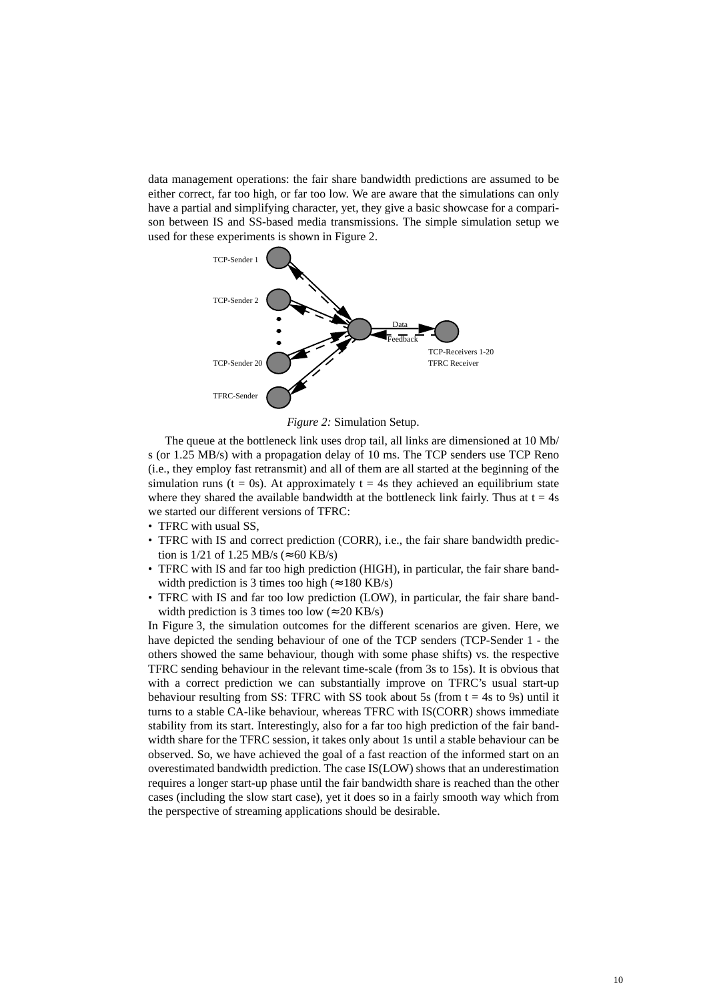data management operations: the fair share bandwidth predictions are assumed to be either correct, far too high, or far too low. We are aware that the simulations can only have a partial and simplifying character, yet, they give a basic showcase for a comparison between IS and SS-based media transmissions. The simple simulation setup we used for these experiments is shown in Figure 2.



*Figure 2:* Simulation Setup.

The queue at the bottleneck link uses drop tail, all links are dimensioned at 10 Mb/ s (or 1.25 MB/s) with a propagation delay of 10 ms. The TCP senders use TCP Reno (i.e., they employ fast retransmit) and all of them are all started at the beginning of the simulation runs (t = 0s). At approximately t = 4s they achieved an equilibrium state where they shared the available bandwidth at the bottleneck link fairly. Thus at  $t = 4s$ we started our different versions of TFRC:

- TFRC with usual SS,
- TFRC with IS and correct prediction (CORR), i.e., the fair share bandwidth prediction is  $1/21$  of 1.25 MB/s (≈ 60 KB/s)
- TFRC with IS and far too high prediction (HIGH), in particular, the fair share bandwidth prediction is 3 times too high ( $\approx 180$  KB/s)
- TFRC with IS and far too low prediction (LOW), in particular, the fair share bandwidth prediction is 3 times too low ( $\approx$  20 KB/s)

In [Figure 3,](#page-10-0) the simulation outcomes for the different scenarios are given. Here, we have depicted the sending behaviour of one of the TCP senders (TCP-Sender 1 - the others showed the same behaviour, though with some phase shifts) vs. the respective TFRC sending behaviour in the relevant time-scale (from 3s to 15s). It is obvious that with a correct prediction we can substantially improve on TFRC's usual start-up behaviour resulting from SS: TFRC with SS took about 5s (from  $t = 4s$  to 9s) until it turns to a stable CA-like behaviour, whereas TFRC with IS(CORR) shows immediate stability from its start. Interestingly, also for a far too high prediction of the fair bandwidth share for the TFRC session, it takes only about 1s until a stable behaviour can be observed. So, we have achieved the goal of a fast reaction of the informed start on an overestimated bandwidth prediction. The case IS(LOW) shows that an underestimation requires a longer start-up phase until the fair bandwidth share is reached than the other cases (including the slow start case), yet it does so in a fairly smooth way which from the perspective of streaming applications should be desirable.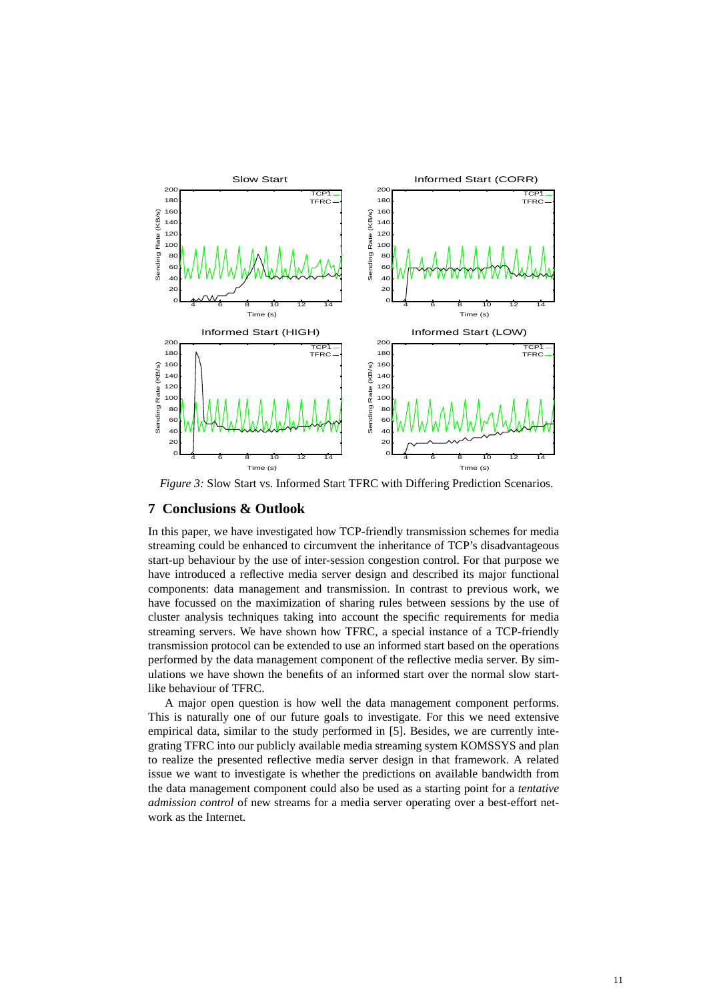<span id="page-10-0"></span>

*Figure 3:* Slow Start vs. Informed Start TFRC with Differing Prediction Scenarios.

# **7 Conclusions & Outlook**

In this paper, we have investigated how TCP-friendly transmission schemes for media streaming could be enhanced to circumvent the inheritance of TCP's disadvantageous start-up behaviour by the use of inter-session congestion control. For that purpose we have introduced a reflective media server design and described its major functional components: data management and transmission. In contrast to previous work, we have focussed on the maximization of sharing rules between sessions by the use of cluster analysis techniques taking into account the specific requirements for media streaming servers. We have shown how TFRC, a special instance of a TCP-friendly transmission protocol can be extended to use an informed start based on the operations performed by the data management component of the reflective media server. By simulations we have shown the benefits of an informed start over the normal slow startlike behaviour of TFRC.

A major open question is how well the data management component performs. This is naturally one of our future goals to investigate. For this we need extensive empirical data, similar to the study performed in [5]. Besides, we are currently integrating TFRC into our publicly available media streaming system KOMSSYS and plan to realize the presented reflective media server design in that framework. A related issue we want to investigate is whether the predictions on available bandwidth from the data management component could also be used as a starting point for a *tentative admission control* of new streams for a media server operating over a best-effort network as the Internet.